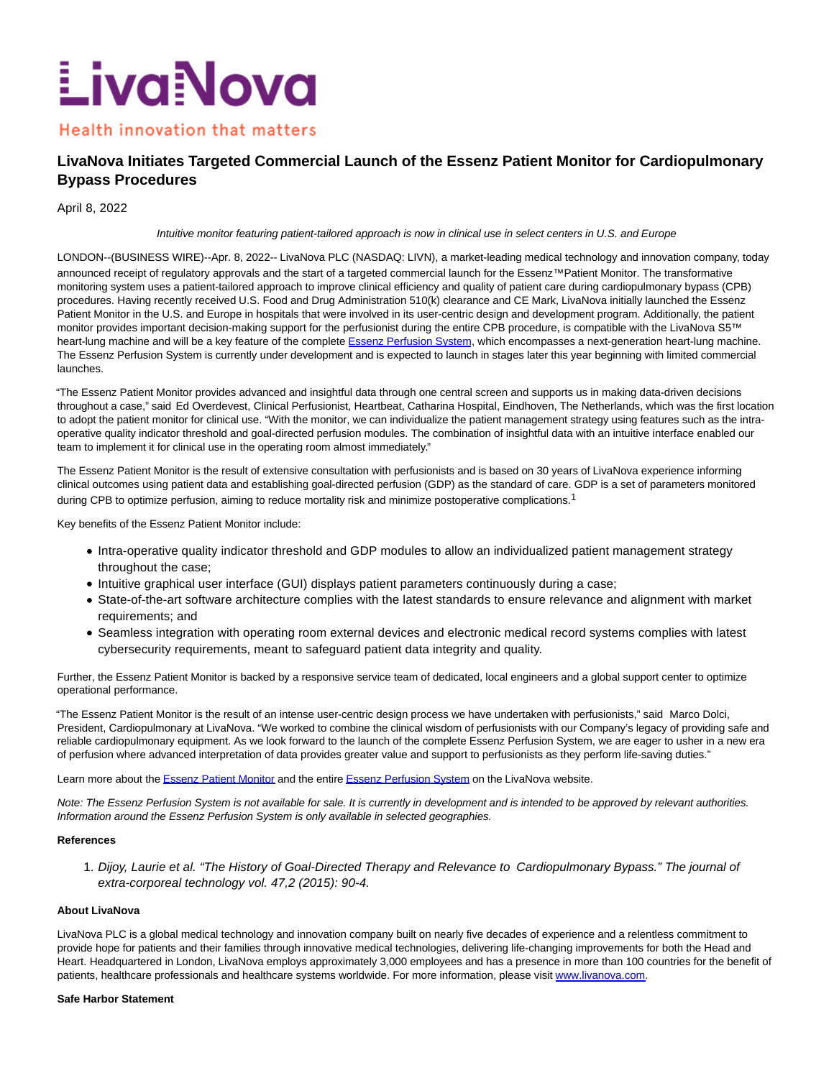# LivaNova

# **Health innovation that matters**

# **LivaNova Initiates Targeted Commercial Launch of the Essenz Patient Monitor for Cardiopulmonary Bypass Procedures**

April 8, 2022

## Intuitive monitor featuring patient-tailored approach is now in clinical use in select centers in U.S. and Europe

LONDON--(BUSINESS WIRE)--Apr. 8, 2022-- LivaNova PLC (NASDAQ: LIVN), a market-leading medical technology and innovation company, today announced receipt of regulatory approvals and the start of a targeted commercial launch for the Essenz™Patient Monitor. The transformative monitoring system uses a patient-tailored approach to improve clinical efficiency and quality of patient care during cardiopulmonary bypass (CPB) procedures. Having recently received U.S. Food and Drug Administration 510(k) clearance and CE Mark, LivaNova initially launched the Essenz Patient Monitor in the U.S. and Europe in hospitals that were involved in its user-centric design and development program. Additionally, the patient monitor provides important decision-making support for the perfusionist during the entire CPB procedure, is compatible with the LivaNova S5™ heart-lung machine and will be a key feature of the complete [Essenz Perfusion System,](https://cts.businesswire.com/ct/CT?id=smartlink&url=https%3A%2F%2Fwww.livanova.com%2Fen-us%2Fhome%2Fessenz&esheet=52671476&newsitemid=20220408005084&lan=en-US&anchor=Essenz+Perfusion+System&index=1&md5=e8df48ebf77ac5d2ff8753cad9a710ad) which encompasses a next-generation heart-lung machine. The Essenz Perfusion System is currently under development and is expected to launch in stages later this year beginning with limited commercial launches.

"The Essenz Patient Monitor provides advanced and insightful data through one central screen and supports us in making data-driven decisions throughout a case," said Ed Overdevest, Clinical Perfusionist, Heartbeat, Catharina Hospital, Eindhoven, The Netherlands, which was the first location to adopt the patient monitor for clinical use. "With the monitor, we can individualize the patient management strategy using features such as the intraoperative quality indicator threshold and goal-directed perfusion modules. The combination of insightful data with an intuitive interface enabled our team to implement it for clinical use in the operating room almost immediately."

The Essenz Patient Monitor is the result of extensive consultation with perfusionists and is based on 30 years of LivaNova experience informing clinical outcomes using patient data and establishing goal-directed perfusion (GDP) as the standard of care. GDP is a set of parameters monitored during CPB to optimize perfusion, aiming to reduce mortality risk and minimize postoperative complications.<sup>1</sup>

Key benefits of the Essenz Patient Monitor include:

- Intra-operative quality indicator threshold and GDP modules to allow an individualized patient management strategy throughout the case;
- Intuitive graphical user interface (GUI) displays patient parameters continuously during a case;
- State-of-the-art software architecture complies with the latest standards to ensure relevance and alignment with market requirements; and
- Seamless integration with operating room external devices and electronic medical record systems complies with latest cybersecurity requirements, meant to safeguard patient data integrity and quality.

Further, the Essenz Patient Monitor is backed by a responsive service team of dedicated, local engineers and a global support center to optimize operational performance.

"The Essenz Patient Monitor is the result of an intense user-centric design process we have undertaken with perfusionists," said Marco Dolci, President, Cardiopulmonary at LivaNova. "We worked to combine the clinical wisdom of perfusionists with our Company's legacy of providing safe and reliable cardiopulmonary equipment. As we look forward to the launch of the complete Essenz Perfusion System, we are eager to usher in a new era of perfusion where advanced interpretation of data provides greater value and support to perfusionists as they perform life-saving duties."

Learn more about the [Essenz Patient Monitor a](https://cts.businesswire.com/ct/CT?id=smartlink&url=https%3A%2F%2Fwww.livanova.com%2Fen-us%2Fhome%2Fcardiopulmonary%2Fheart-lung-equipment%2Fessenz-patient-monitor&esheet=52671476&newsitemid=20220408005084&lan=en-US&anchor=Essenz+Patient+Monitor&index=2&md5=90eb92e9340246c51767898cdf7ef406)nd the entir[e Essenz Perfusion System o](https://cts.businesswire.com/ct/CT?id=smartlink&url=https%3A%2F%2Fwww.livanova.com%2Fen-us%2Fhome%2Fessenz&esheet=52671476&newsitemid=20220408005084&lan=en-US&anchor=Essenz+Perfusion+System&index=3&md5=08cb19f1bebc16d2f9621df2db8c007a)n the LivaNova website.

Note: The Essenz Perfusion System is not available for sale. It is currently in development and is intended to be approved by relevant authorities. Information around the Essenz Perfusion System is only available in selected geographies.

## **References**

1. Dijoy, Laurie et al. "The History of Goal-Directed Therapy and Relevance to Cardiopulmonary Bypass." The journal ot extra-corporeal technology vol. 47,2 (2015): 90-4.

## **About LivaNova**

LivaNova PLC is a global medical technology and innovation company built on nearly five decades of experience and a relentless commitment to provide hope for patients and their families through innovative medical technologies, delivering life-changing improvements for both the Head and Heart. Headquartered in London, LivaNova employs approximately 3,000 employees and has a presence in more than 100 countries for the benefit of patients, healthcare professionals and healthcare systems worldwide. For more information, please visit [www.livanova.com.](https://cts.businesswire.com/ct/CT?id=smartlink&url=http%3A%2F%2Fwww.livanova.com&esheet=52671476&newsitemid=20220408005084&lan=en-US&anchor=www.livanova.com&index=4&md5=6be4e24734200cd26bf9ff8216046075)

## **Safe Harbor Statement**